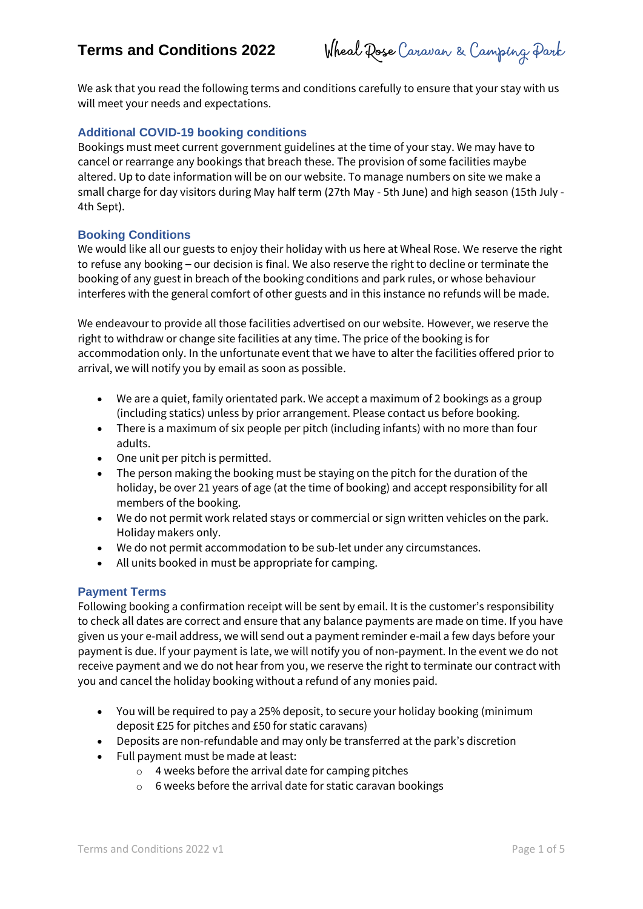**Terms and Conditions 2022** Wheal Rose Caravan & Camping Park

We ask that you read the following terms and conditions carefully to ensure that your stay with us will meet your needs and expectations.

## **Additional COVID-19 booking conditions**

Bookings must meet current government guidelines at the time of your stay. We may have to cancel or rearrange any bookings that breach these. The provision of some facilities maybe altered. Up to date information will be on our website. To manage numbers on site we make a small charge for day visitors during May half term (27th May - 5th June) and high season (15th July - 4th Sept).

## **Booking Conditions**

We would like all our guests to enjoy their holiday with us here at Wheal Rose. We reserve the right to refuse any booking – our decision is final. We also reserve the right to decline or terminate the booking of any guest in breach of the booking conditions and park rules, or whose behaviour interferes with the general comfort of other guests and in this instance no refunds will be made.

We endeavour to provide all those facilities advertised on our website. However, we reserve the right to withdraw or change site facilities at any time. The price of the booking is for accommodation only. In the unfortunate event that we have to alter the facilities offered prior to arrival, we will notify you by email as soon as possible.

- We are a quiet, family orientated park. We accept a maximum of 2 bookings as a group (including statics) unless by prior arrangement. Please contact us before booking.
- There is a maximum of six people per pitch (including infants) with no more than four adults.
- One unit per pitch is permitted.
- The person making the booking must be staying on the pitch for the duration of the holiday, be over 21 years of age (at the time of booking) and accept responsibility for all members of the booking.
- We do not permit work related stays or commercial or sign written vehicles on the park. Holiday makers only.
- We do not permit accommodation to be sub-let under any circumstances.
- All units booked in must be appropriate for camping.

### **Payment Terms**

Following booking a confirmation receipt will be sent by email. It is the customer's responsibility to check all dates are correct and ensure that any balance payments are made on time. If you have given us your e-mail address, we will send out a payment reminder e-mail a few days before your payment is due. If your payment is late, we will notify you of non-payment. In the event we do not receive payment and we do not hear from you, we reserve the right to terminate our contract with you and cancel the holiday booking without a refund of any monies paid.

- You will be required to pay a 25% deposit, to secure your holiday booking (minimum deposit £25 for pitches and £50 for static caravans)
- Deposits are non-refundable and may only be transferred at the park's discretion
- Full payment must be made at least:
	- o 4 weeks before the arrival date for camping pitches
	- o 6 weeks before the arrival date for static caravan bookings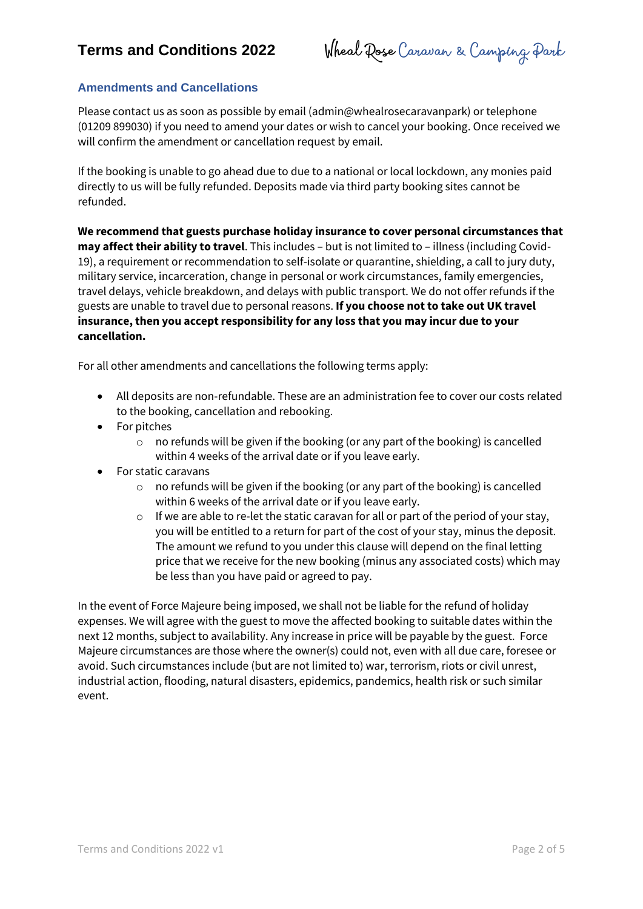**Terms and Conditions 2022** Wheal Rose Caravan & Camping Park

## **Amendments and Cancellations**

Please contact us as soon as possible by email (admin@whealrosecaravanpark) or telephone (01209 899030) if you need to amend your dates or wish to cancel your booking. Once received we will confirm the amendment or cancellation request by email.

If the booking is unable to go ahead due to due to a national or local lockdown, any monies paid directly to us will be fully refunded. Deposits made via third party booking sites cannot be refunded.

**We recommend that guests purchase holiday insurance to cover personal circumstances that may affect their ability to travel**. This includes – but is not limited to – illness (including Covid-19), a requirement or recommendation to self-isolate or quarantine, shielding, a call to jury duty, military service, incarceration, change in personal or work circumstances, family emergencies, travel delays, vehicle breakdown, and delays with public transport. We do not offer refunds if the guests are unable to travel due to personal reasons. **If you choose not to take out UK travel insurance, then you accept responsibility for any loss that you may incur due to your cancellation.**

For all other amendments and cancellations the following terms apply:

- All deposits are non-refundable. These are an administration fee to cover our costs related to the booking, cancellation and rebooking.
- For pitches
	- $\circ$  no refunds will be given if the booking (or any part of the booking) is cancelled within 4 weeks of the arrival date or if you leave early.
- For static caravans
	- $\circ$  no refunds will be given if the booking (or any part of the booking) is cancelled within 6 weeks of the arrival date or if you leave early.
	- $\circ$  If we are able to re-let the static caravan for all or part of the period of your stay, you will be entitled to a return for part of the cost of your stay, minus the deposit. The amount we refund to you under this clause will depend on the final letting price that we receive for the new booking (minus any associated costs) which may be less than you have paid or agreed to pay.

In the event of Force Majeure being imposed, we shall not be liable for the refund of holiday expenses. We will agree with the guest to move the affected booking to suitable dates within the next 12 months, subject to availability. Any increase in price will be payable by the guest. Force Majeure circumstances are those where the owner(s) could not, even with all due care, foresee or avoid. Such circumstances include (but are not limited to) war, terrorism, riots or civil unrest, industrial action, flooding, natural disasters, epidemics, pandemics, health risk or such similar event.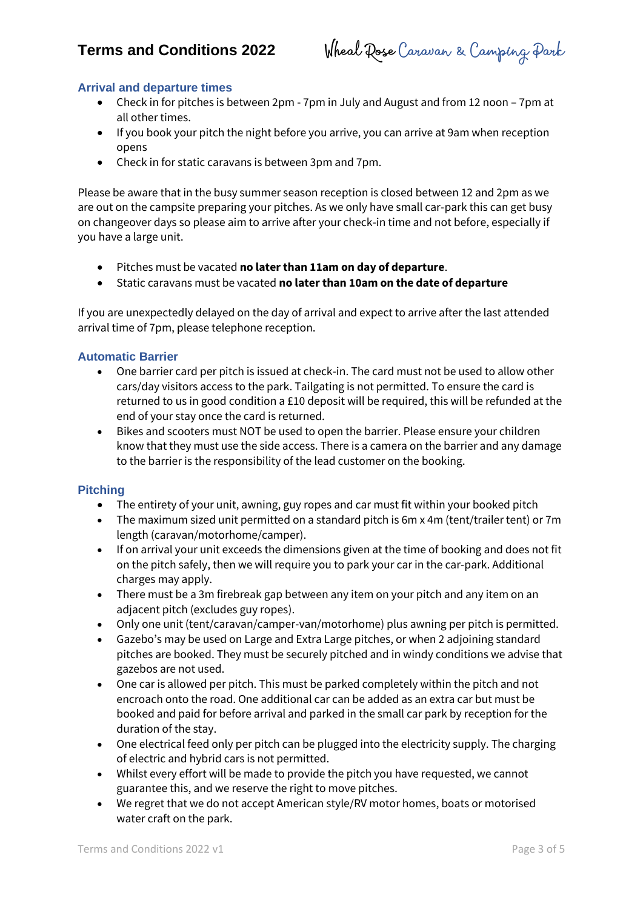**Terms and Conditions 2022** Wheal Rose Caravan & Camping Park

## **Arrival and departure times**

- Check in for pitches is between 2pm 7pm in July and August and from 12 noon 7pm at all other times.
- If you book your pitch the night before you arrive, you can arrive at 9am when reception opens
- Check in for static caravans is between 3pm and 7pm.

Please be aware that in the busy summer season reception is closed between 12 and 2pm as we are out on the campsite preparing your pitches. As we only have small car-park this can get busy on changeover days so please aim to arrive after your check-in time and not before, especially if you have a large unit.

- Pitches must be vacated **no later than 11am on day of departure**.
- Static caravans must be vacated **no later than 10am on the date of departure**

If you are unexpectedly delayed on the day of arrival and expect to arrive after the last attended arrival time of 7pm, please telephone reception.

### **Automatic Barrier**

- One barrier card per pitch is issued at check-in. The card must not be used to allow other cars/day visitors access to the park. Tailgating is not permitted. To ensure the card is returned to us in good condition a £10 deposit will be required, this will be refunded at the end of your stay once the card is returned.
- Bikes and scooters must NOT be used to open the barrier. Please ensure your children know that they must use the side access. There is a camera on the barrier and any damage to the barrier is the responsibility of the lead customer on the booking.

### **Pitching**

- The entirety of your unit, awning, guy ropes and car must fit within your booked pitch
- The maximum sized unit permitted on a standard pitch is 6m x 4m (tent/trailer tent) or 7m length (caravan/motorhome/camper).
- If on arrival your unit exceeds the dimensions given at the time of booking and does not fit on the pitch safely, then we will require you to park your car in the car-park. Additional charges may apply.
- There must be a 3m firebreak gap between any item on your pitch and any item on an adjacent pitch (excludes guy ropes).
- Only one unit (tent/caravan/camper-van/motorhome) plus awning per pitch is permitted.
- Gazebo's may be used on Large and Extra Large pitches, or when 2 adjoining standard pitches are booked. They must be securely pitched and in windy conditions we advise that gazebos are not used.
- One car is allowed per pitch. This must be parked completely within the pitch and not encroach onto the road. One additional car can be added as an extra car but must be booked and paid for before arrival and parked in the small car park by reception for the duration of the stay.
- One electrical feed only per pitch can be plugged into the electricity supply. The charging of electric and hybrid cars is not permitted.
- Whilst every effort will be made to provide the pitch you have requested, we cannot guarantee this, and we reserve the right to move pitches.
- We regret that we do not accept American style/RV motor homes, boats or motorised water craft on the park.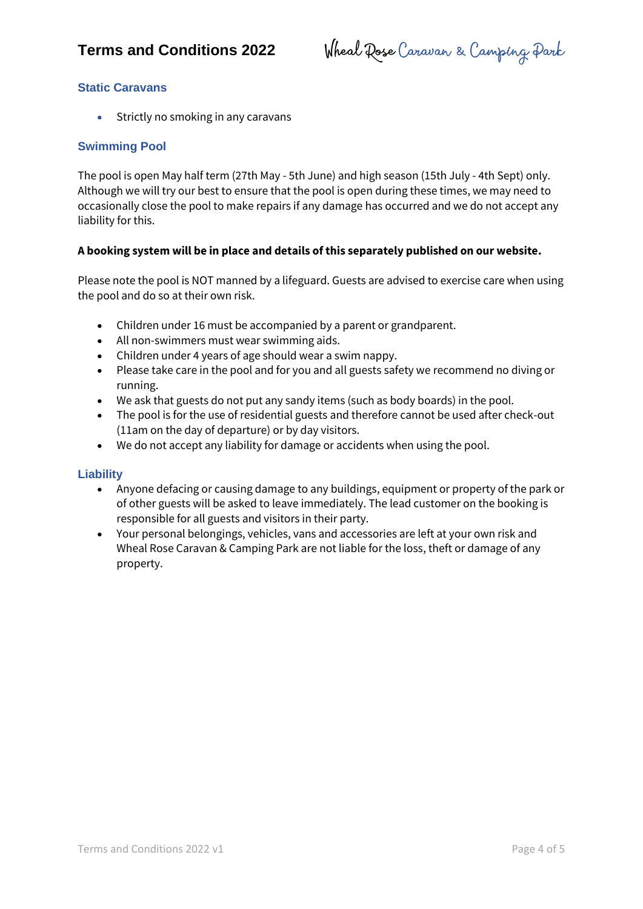**Terms and Conditions 2022** Wheal Rose Caravan & Camping Park

## **Static Caravans**

Strictly no smoking in any caravans

## **Swimming Pool**

The pool is open May half term (27th May - 5th June) and high season (15th July - 4th Sept) only. Although we will try our best to ensure that the pool is open during these times, we may need to occasionally close the pool to make repairs if any damage has occurred and we do not accept any liability for this.

## **A booking system will be in place and details of this separately published on our website.**

Please note the pool is NOT manned by a lifeguard. Guests are advised to exercise care when using the pool and do so at their own risk.

- Children under 16 must be accompanied by a parent or grandparent.
- All non-swimmers must wear swimming aids.
- Children under 4 years of age should wear a swim nappy.
- Please take care in the pool and for you and all guests safety we recommend no diving or running.
- We ask that guests do not put any sandy items (such as body boards) in the pool.
- The pool is for the use of residential guests and therefore cannot be used after check-out (11am on the day of departure) or by day visitors.
- We do not accept any liability for damage or accidents when using the pool.

### **Liability**

- Anyone defacing or causing damage to any buildings, equipment or property of the park or of other guests will be asked to leave immediately. The lead customer on the booking is responsible for all guests and visitors in their party.
- Your personal belongings, vehicles, vans and accessories are left at your own risk and Wheal Rose Caravan & Camping Park are not liable for the loss, theft or damage of any property.